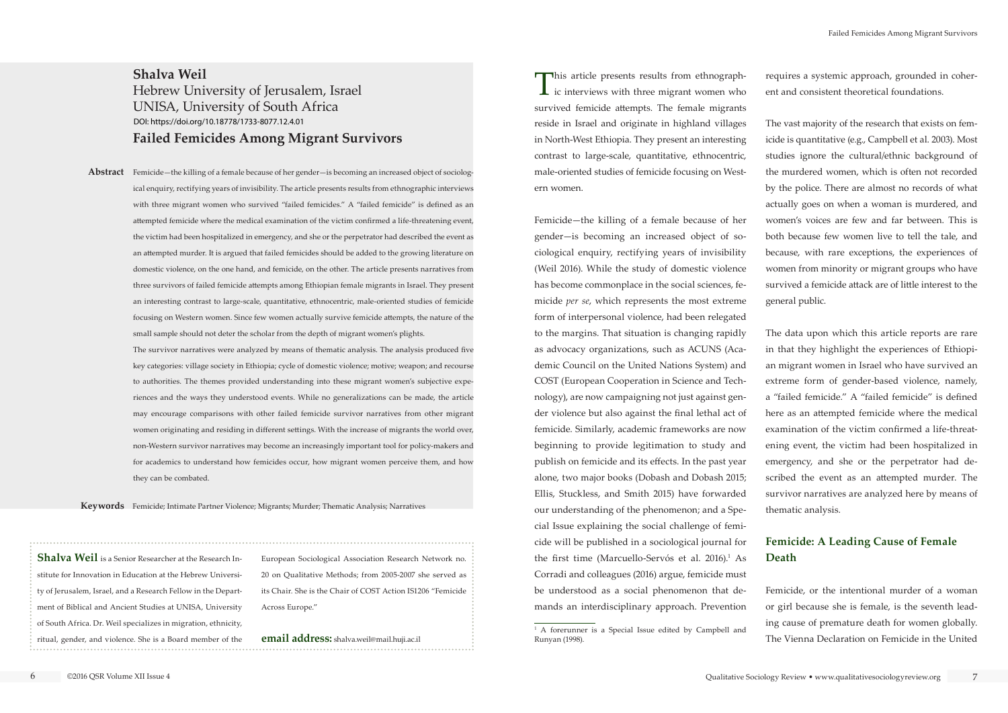This article presents results from ethnograph- $\blacktriangle$  ic interviews with three migrant women who survived femicide attempts. The female migrants reside in Israel and originate in highland villages in North-West Ethiopia. They present an interesting contrast to large-scale, quantitative, ethnocentric, male-oriented studies of femicide focusing on Western women.

Femicide—the killing of a female because of her gender—is becoming an increased object of sociological enquiry, rectifying years of invisibility (Weil 2016). While the study of domestic violence has become commonplace in the social sciences, femicide *per se*, which represents the most extreme form of interpersonal violence, had been relegated to the margins. That situation is changing rapidly as advocacy organizations, such as ACUNS (Academic Council on the United Nations System) and COST (European Cooperation in Science and Technology), are now campaigning not just against gender violence but also against the final lethal act of femicide. Similarly, academic frameworks are now beginning to provide legitimation to study and publish on femicide and its effects. In the past year alone, two major books (Dobash and Dobash 2015; Ellis, Stuckless, and Smith 2015) have forwarded our understanding of the phenomenon; and a Special Issue explaining the social challenge of femicide will be published in a sociological journal for the first time (Marcuello-Servós et al.  $2016$ ).<sup>1</sup> As Corradi and colleagues (2016) argue, femicide must be understood as a social phenomenon that demands an interdisciplinary approach. Prevention

requires a systemic approach, grounded in coherent and consistent theoretical foundations.

The vast majority of the research that exists on femicide is quantitative (e.g., Campbell et al. 2003). Most studies ignore the cultural/ethnic background of the murdered women, which is often not recorded by the police. There are almost no records of what actually goes on when a woman is murdered, and women's voices are few and far between. This is both because few women live to tell the tale, and because, with rare exceptions, the experiences of women from minority or migrant groups who have survived a femicide attack are of little interest to the general public.

Abstract Femicide—the killing of a female because of her gender—is becoming an increased object of sociological enquiry, rectifying years of invisibility. The article presents results from ethnographic interviews with three migrant women who survived "failed femicides." A "failed femicide" is defined as an attempted femicide where the medical examination of the victim confirmed a life-threatening event, the victim had been hospitalized in emergency, and she or the perpetrator had described the event as an attempted murder. It is argued that failed femicides should be added to the growing literature on domestic violence, on the one hand, and femicide, on the other. The article presents narratives from three survivors of failed femicide attempts among Ethiopian female migrants in Israel. They present an interesting contrast to large-scale, quantitative, ethnocentric, male-oriented studies of femicide focusing on Western women. Since few women actually survive femicide attempts, the nature of the small sample should not deter the scholar from the depth of migrant women's plights.

The data upon which this article reports are rare in that they highlight the experiences of Ethiopian migrant women in Israel who have survived an extreme form of gender-based violence, namely, a "failed femicide." A "failed femicide" is defined here as an attempted femicide where the medical examination of the victim confirmed a life-threatening event, the victim had been hospitalized in emergency, and she or the perpetrator had described the event as an attempted murder. The survivor narratives are analyzed here by means of thematic analysis.

# **Femicide: A Leading Cause of Female Death**

Femicide, or the intentional murder of a woman or girl because she is female, is the seventh leading cause of premature death for women globally. The Vienna Declaration on Femicide in the United

**Keywords** Femicide; Intimate Partner Violence; Migrants; Murder; Thematic Analysis; Narratives

# **Shalva Weil** Hebrew University of Jerusalem, Israel UNISA, University of South Africa **Failed Femicides Among Migrant Survivors**  [DOI: https://doi.org/10.18778/1733-8077.12.4.01](https://doi.org/10.18778/1733-8077.12.4.01)

The survivor narratives were analyzed by means of thematic analysis. The analysis produced five key categories: village society in Ethiopia; cycle of domestic violence; motive; weapon; and recourse to authorities. The themes provided understanding into these migrant women's subjective experiences and the ways they understood events. While no generalizations can be made, the article may encourage comparisons with other failed femicide survivor narratives from other migrant women originating and residing in different settings. With the increase of migrants the world over, non-Western survivor narratives may become an increasingly important tool for policy-makers and for academics to understand how femicides occur, how migrant women perceive them, and how they can be combated.

**Shalva Weil** is a Senior Researcher at the Research Institute for Innovation in Education at the Hebrew University of Jerusalem, Israel, and a Research Fellow in the Department of Biblical and Ancient Studies at UNISA, University of South Africa. Dr. Weil specializes in migration, ethnicity, ritual, gender, and violence. She is a Board member of the European Sociological Association Research Network no. 20 on Qualitative Methods; from 2005-2007 she served as its Chair. She is the Chair of COST Action IS1206 "Femicide Across Europe."

**email address:** shalva.weil@mail.huji.ac.il

<sup>&</sup>lt;sup>1</sup> A forerunner is a Special Issue edited by Campbell and Runyan (1998).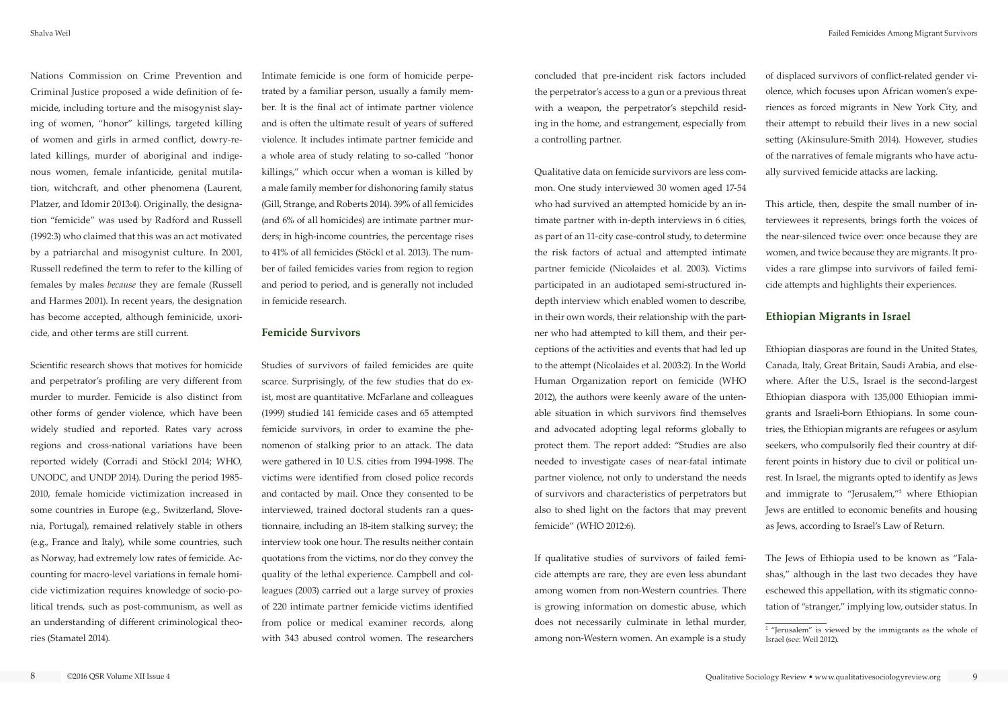Nations Commission on Crime Prevention and Criminal Justice proposed a wide definition of femicide, including torture and the misogynist slaying of women, "honor" killings, targeted killing of women and girls in armed conflict, dowry-related killings, murder of aboriginal and indigenous women, female infanticide, genital mutilation, witchcraft, and other phenomena (Laurent, Platzer, and Idomir 2013:4). Originally, the designation "femicide" was used by Radford and Russell (1992:3) who claimed that this was an act motivated by a patriarchal and misogynist culture. In 2001, Russell redefined the term to refer to the killing of females by males *because* they are female (Russell and Harmes 2001). In recent years, the designation has become accepted, although feminicide, uxoricide, and other terms are still current.

Scientific research shows that motives for homicide and perpetrator's profiling are very different from murder to murder. Femicide is also distinct from other forms of gender violence, which have been widely studied and reported. Rates vary across regions and cross-national variations have been reported widely (Corradi and Stöckl 2014; WHO, UNODC, and UNDP 2014). During the period 1985- 2010, female homicide victimization increased in some countries in Europe (e.g., Switzerland, Slovenia, Portugal), remained relatively stable in others (e.g., France and Italy), while some countries, such as Norway, had extremely low rates of femicide. Accounting for macro-level variations in female homicide victimization requires knowledge of socio-political trends, such as post-communism, as well as an understanding of different criminological theories (Stamatel 2014).

Intimate femicide is one form of homicide perpetrated by a familiar person, usually a family member. It is the final act of intimate partner violence and is often the ultimate result of years of suffered violence. It includes intimate partner femicide and a whole area of study relating to so-called "honor killings," which occur when a woman is killed by a male family member for dishonoring family status (Gill, Strange, and Roberts 2014). 39% of all femicides (and 6% of all homicides) are intimate partner murders; in high-income countries, the percentage rises to 41% of all femicides (Stöckl et al. 2013). The number of failed femicides varies from region to region and period to period, and is generally not included in femicide research.

### **Femicide Survivors**

Studies of survivors of failed femicides are quite scarce. Surprisingly, of the few studies that do exist, most are quantitative. McFarlane and colleagues (1999) studied 141 femicide cases and 65 attempted femicide survivors, in order to examine the phenomenon of stalking prior to an attack. The data were gathered in 10 U.S. cities from 1994-1998. The victims were identified from closed police records and contacted by mail. Once they consented to be interviewed, trained doctoral students ran a questionnaire, including an 18-item stalking survey; the interview took one hour. The results neither contain quotations from the victims, nor do they convey the quality of the lethal experience. Campbell and colleagues (2003) carried out a large survey of proxies of 220 intimate partner femicide victims identified from police or medical examiner records, along with 343 abused control women. The researchers

concluded that pre-incident risk factors included the perpetrator's access to a gun or a previous threat with a weapon, the perpetrator's stepchild residing in the home, and estrangement, especially from a controlling partner.

Qualitative data on femicide survivors are less common. One study interviewed 30 women aged 17-54 who had survived an attempted homicide by an intimate partner with in-depth interviews in 6 cities, as part of an 11-city case-control study, to determine the risk factors of actual and attempted intimate partner femicide (Nicolaides et al. 2003). Victims participated in an audiotaped semi-structured indepth interview which enabled women to describe, in their own words, their relationship with the partner who had attempted to kill them, and their perceptions of the activities and events that had led up to the attempt (Nicolaides et al. 2003:2). In the World Human Organization report on femicide (WHO 2012), the authors were keenly aware of the untenable situation in which survivors find themselves and advocated adopting legal reforms globally to protect them. The report added: "Studies are also needed to investigate cases of near-fatal intimate partner violence, not only to understand the needs of survivors and characteristics of perpetrators but also to shed light on the factors that may prevent femicide" (WHO 2012:6).

If qualitative studies of survivors of failed femicide attempts are rare, they are even less abundant among women from non-Western countries. There is growing information on domestic abuse, which does not necessarily culminate in lethal murder, among non-Western women. An example is a study of displaced survivors of conflict-related gender violence, which focuses upon African women's experiences as forced migrants in New York City, and their attempt to rebuild their lives in a new social setting (Akinsulure-Smith 2014). However, studies of the narratives of female migrants who have actually survived femicide attacks are lacking.

This article, then, despite the small number of interviewees it represents, brings forth the voices of the near-silenced twice over: once because they are women, and twice because they are migrants. It provides a rare glimpse into survivors of failed femicide attempts and highlights their experiences.

# **Ethiopian Migrants in Israel**

Ethiopian diasporas are found in the United States, Canada, Italy, Great Britain, Saudi Arabia, and elsewhere. After the U.S., Israel is the second-largest Ethiopian diaspora with 135,000 Ethiopian immigrants and Israeli-born Ethiopians. In some countries, the Ethiopian migrants are refugees or asylum seekers, who compulsorily fled their country at different points in history due to civil or political unrest. In Israel, the migrants opted to identify as Jews and immigrate to "Jerusalem,"2 where Ethiopian Jews are entitled to economic benefits and housing as Jews, according to Israel's Law of Return.

The Jews of Ethiopia used to be known as "Falashas," although in the last two decades they have eschewed this appellation, with its stigmatic connotation of "stranger," implying low, outsider status. In

<sup>&</sup>lt;sup>2</sup> "Jerusalem" is viewed by the immigrants as the whole of Israel (see: Weil 2012).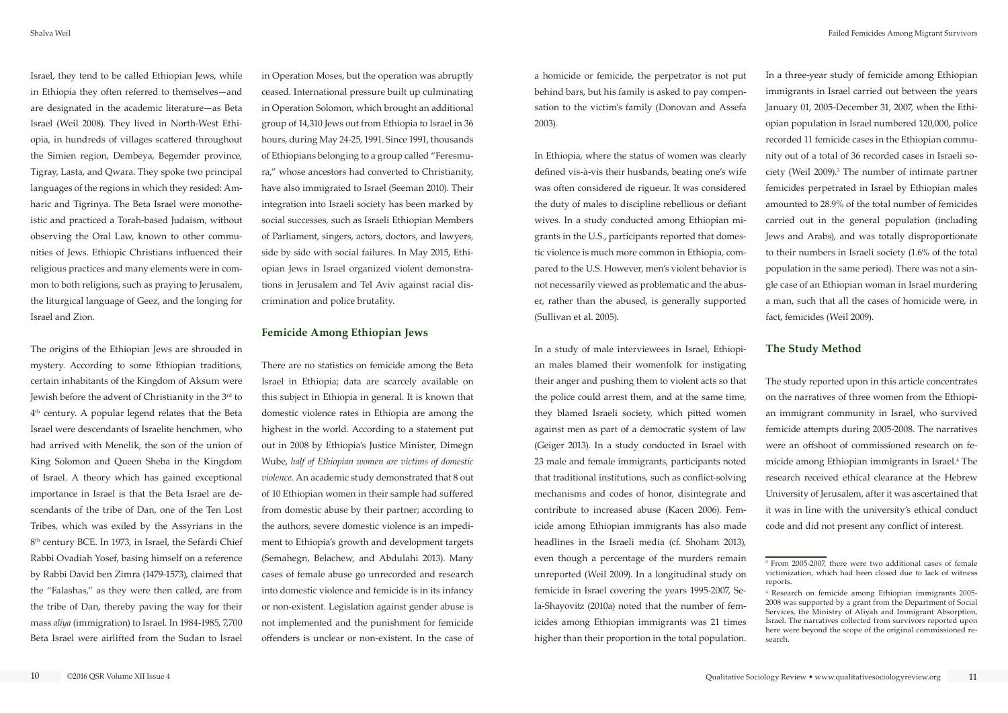Israel, they tend to be called Ethiopian Jews, while in Ethiopia they often referred to themselves—and are designated in the academic literature—as Beta Israel (Weil 2008). They lived in North-West Ethiopia, in hundreds of villages scattered throughout the Simien region, Dembeya, Begemder province, Tigray, Lasta, and Qwara. They spoke two principal languages of the regions in which they resided: Amharic and Tigrinya. The Beta Israel were monotheistic and practiced a Torah-based Judaism, without observing the Oral Law, known to other communities of Jews. Ethiopic Christians influenced their religious practices and many elements were in common to both religions, such as praying to Jerusalem, the liturgical language of Geez, and the longing for Israel and Zion.

The origins of the Ethiopian Jews are shrouded in mystery. According to some Ethiopian traditions, certain inhabitants of the Kingdom of Aksum were Jewish before the advent of Christianity in the 3<sup>rd</sup> to 4th century. A popular legend relates that the Beta Israel were descendants of Israelite henchmen, who had arrived with Menelik, the son of the union of King Solomon and Queen Sheba in the Kingdom of Israel. A theory which has gained exceptional importance in Israel is that the Beta Israel are descendants of the tribe of Dan, one of the Ten Lost Tribes, which was exiled by the Assyrians in the 8<sup>th</sup> century BCE. In 1973, in Israel, the Sefardi Chief Rabbi Ovadiah Yosef, basing himself on a reference by Rabbi David ben Zimra (1479-1573), claimed that the "Falashas," as they were then called, are from the tribe of Dan, thereby paving the way for their mass *aliya* (immigration) to Israel. In 1984-1985, 7,700 Beta Israel were airlifted from the Sudan to Israel

in Operation Moses, but the operation was abruptly ceased. International pressure built up culminating in Operation Solomon, which brought an additional group of 14,310 Jews out from Ethiopia to Israel in 36 hours, during May 24-25, 1991. Since 1991, thousands of Ethiopians belonging to a group called "Feresmura," whose ancestors had converted to Christianity, have also immigrated to Israel (Seeman 2010). Their integration into Israeli society has been marked by social successes, such as Israeli Ethiopian Members of Parliament, singers, actors, doctors, and lawyers, side by side with social failures. In May 2015, Ethiopian Jews in Israel organized violent demonstrations in Jerusalem and Tel Aviv against racial discrimination and police brutality.

#### **Femicide Among Ethiopian Jews**

There are no statistics on femicide among the Beta Israel in Ethiopia; data are scarcely available on this subject in Ethiopia in general. It is known that domestic violence rates in Ethiopia are among the highest in the world. According to a statement put out in 2008 by Ethiopia's Justice Minister, Dimegn Wube, *half of Ethiopian women are victims of domestic violence*. An academic study demonstrated that 8 out of 10 Ethiopian women in their sample had suffered from domestic abuse by their partner; according to the authors, severe domestic violence is an impediment to Ethiopia's growth and development targets (Semahegn, Belachew, and Abdulahi 2013). Many cases of female abuse go unrecorded and research into domestic violence and femicide is in its infancy or non-existent. Legislation against gender abuse is not implemented and the punishment for femicide offenders is unclear or non-existent. In the case of a homicide or femicide, the perpetrator is not put behind bars, but his family is asked to pay compensation to the victim's family (Donovan and Assefa 2003).

In Ethiopia, where the status of women was clearly defined vis-à-vis their husbands, beating one's wife was often considered de rigueur. It was considered the duty of males to discipline rebellious or defiant wives. In a study conducted among Ethiopian migrants in the U.S., participants reported that domestic violence is much more common in Ethiopia, compared to the U.S. However, men's violent behavior is not necessarily viewed as problematic and the abuser, rather than the abused, is generally supported (Sullivan et al. 2005).

In a study of male interviewees in Israel, Ethiopian males blamed their womenfolk for instigating their anger and pushing them to violent acts so that the police could arrest them, and at the same time, they blamed Israeli society, which pitted women against men as part of a democratic system of law (Geiger 2013). In a study conducted in Israel with 23 male and female immigrants, participants noted that traditional institutions, such as conflict-solving mechanisms and codes of honor, disintegrate and contribute to increased abuse (Kacen 2006). Femicide among Ethiopian immigrants has also made headlines in the Israeli media (cf. Shoham 2013), even though a percentage of the murders remain unreported (Weil 2009). In a longitudinal study on femicide in Israel covering the years 1995-2007, Sela-Shayovitz (2010a) noted that the number of femicides among Ethiopian immigrants was 21 times higher than their proportion in the total population.

In a three-year study of femicide among Ethiopian immigrants in Israel carried out between the years January 01, 2005-December 31, 2007, when the Ethiopian population in Israel numbered 120,000, police recorded 11 femicide cases in the Ethiopian community out of a total of 36 recorded cases in Israeli society (Weil 2009). $3$  The number of intimate partner femicides perpetrated in Israel by Ethiopian males amounted to 28.9% of the total number of femicides carried out in the general population (including Jews and Arabs), and was totally disproportionate to their numbers in Israeli society (1.6% of the total population in the same period). There was not a single case of an Ethiopian woman in Israel murdering a man, such that all the cases of homicide were, in fact, femicides (Weil 2009).

# **The Study Method**

The study reported upon in this article concentrates on the narratives of three women from the Ethiopian immigrant community in Israel, who survived femicide attempts during 2005-2008. The narratives were an offshoot of commissioned research on femicide among Ethiopian immigrants in Israel.4 The research received ethical clearance at the Hebrew University of Jerusalem, after it was ascertained that it was in line with the university's ethical conduct code and did not present any conflict of interest.

<sup>3</sup> From 2005-2007, there were two additional cases of female victimization, which had been closed due to lack of witness reports.

<sup>4</sup> Research on femicide among Ethiopian immigrants 2005- 2008 was supported by a grant from the Department of Social Services, the Ministry of Aliyah and Immigrant Absorption, Israel. The narratives collected from survivors reported upon here were beyond the scope of the original commissioned research.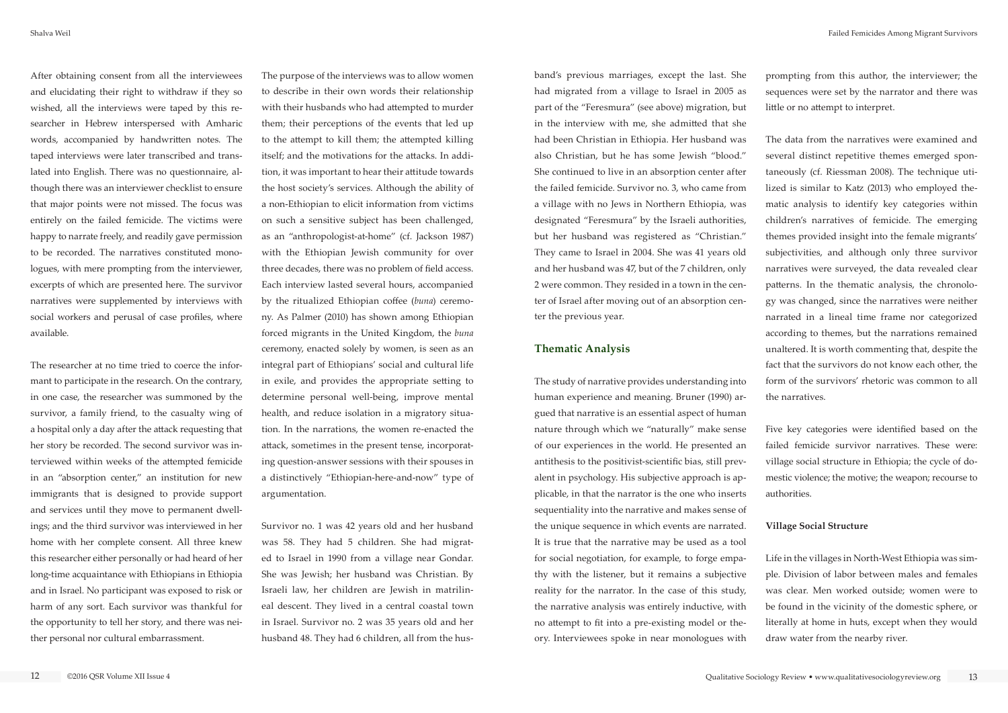After obtaining consent from all the interviewees and elucidating their right to withdraw if they so wished, all the interviews were taped by this researcher in Hebrew interspersed with Amharic words, accompanied by handwritten notes. The taped interviews were later transcribed and translated into English. There was no questionnaire, although there was an interviewer checklist to ensure that major points were not missed. The focus was entirely on the failed femicide. The victims were happy to narrate freely, and readily gave permission to be recorded. The narratives constituted monologues, with mere prompting from the interviewer, excerpts of which are presented here. The survivor narratives were supplemented by interviews with social workers and perusal of case profiles, where available.

The researcher at no time tried to coerce the informant to participate in the research. On the contrary, in one case, the researcher was summoned by the survivor, a family friend, to the casualty wing of a hospital only a day after the attack requesting that her story be recorded. The second survivor was interviewed within weeks of the attempted femicide in an "absorption center," an institution for new immigrants that is designed to provide support and services until they move to permanent dwellings; and the third survivor was interviewed in her home with her complete consent. All three knew this researcher either personally or had heard of her long-time acquaintance with Ethiopians in Ethiopia and in Israel. No participant was exposed to risk or harm of any sort. Each survivor was thankful for the opportunity to tell her story, and there was neither personal nor cultural embarrassment.

The purpose of the interviews was to allow women to describe in their own words their relationship with their husbands who had attempted to murder them; their perceptions of the events that led up to the attempt to kill them; the attempted killing itself; and the motivations for the attacks. In addition, it was important to hear their attitude towards the host society's services. Although the ability of a non-Ethiopian to elicit information from victims on such a sensitive subject has been challenged, as an "anthropologist-at-home" (cf. Jackson 1987) with the Ethiopian Jewish community for over three decades, there was no problem of field access. Each interview lasted several hours, accompanied by the ritualized Ethiopian coffee (*buna*) ceremony. As Palmer (2010) has shown among Ethiopian forced migrants in the United Kingdom, the *buna* ceremony, enacted solely by women, is seen as an integral part of Ethiopians' social and cultural life in exile, and provides the appropriate setting to determine personal well-being, improve mental health, and reduce isolation in a migratory situation. In the narrations, the women re-enacted the attack, sometimes in the present tense, incorporating question-answer sessions with their spouses in a distinctively "Ethiopian-here-and-now" type of argumentation.

Survivor no. 1 was 42 years old and her husband was 58. They had 5 children. She had migrated to Israel in 1990 from a village near Gondar. She was Jewish; her husband was Christian. By Israeli law, her children are Jewish in matrilineal descent. They lived in a central coastal town in Israel. Survivor no. 2 was 35 years old and her husband 48. They had 6 children, all from the husband's previous marriages, except the last. She had migrated from a village to Israel in 2005 as part of the "Feresmura" (see above) migration, but in the interview with me, she admitted that she had been Christian in Ethiopia. Her husband was also Christian, but he has some Jewish "blood." She continued to live in an absorption center after the failed femicide. Survivor no. 3, who came from a village with no Jews in Northern Ethiopia, was designated "Feresmura" by the Israeli authorities, but her husband was registered as "Christian." They came to Israel in 2004. She was 41 years old and her husband was 47, but of the 7 children, only 2 were common. They resided in a town in the center of Israel after moving out of an absorption center the previous year.

## **Thematic Analysis**

The study of narrative provides understanding into human experience and meaning. Bruner (1990) argued that narrative is an essential aspect of human nature through which we "naturally" make sense of our experiences in the world. He presented an antithesis to the positivist-scientific bias, still prevalent in psychology. His subjective approach is applicable, in that the narrator is the one who inserts sequentiality into the narrative and makes sense of the unique sequence in which events are narrated. It is true that the narrative may be used as a tool for social negotiation, for example, to forge empathy with the listener, but it remains a subjective reality for the narrator. In the case of this study, the narrative analysis was entirely inductive, with no attempt to fit into a pre-existing model or theory. Interviewees spoke in near monologues with

prompting from this author, the interviewer; the sequences were set by the narrator and there was little or no attempt to interpret.

The data from the narratives were examined and several distinct repetitive themes emerged spontaneously (cf. Riessman 2008). The technique utilized is similar to Katz (2013) who employed thematic analysis to identify key categories within children's narratives of femicide. The emerging themes provided insight into the female migrants' subjectivities, and although only three survivor narratives were surveyed, the data revealed clear patterns. In the thematic analysis, the chronology was changed, since the narratives were neither narrated in a lineal time frame nor categorized according to themes, but the narrations remained unaltered. It is worth commenting that, despite the fact that the survivors do not know each other, the form of the survivors' rhetoric was common to all the narratives.

Five key categories were identified based on the failed femicide survivor narratives. These were: village social structure in Ethiopia; the cycle of domestic violence; the motive; the weapon; recourse to authorities.

## **Village Social Structure**

Life in the villages in North-West Ethiopia was simple. Division of labor between males and females was clear. Men worked outside; women were to be found in the vicinity of the domestic sphere, or literally at home in huts, except when they would draw water from the nearby river.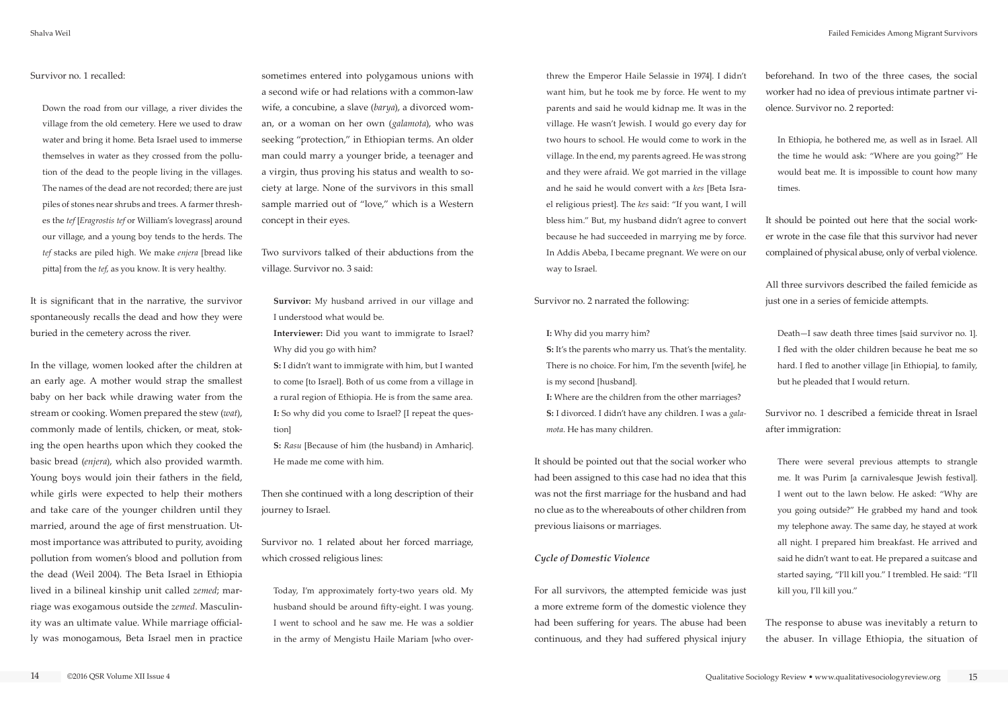#### Survivor no. 1 recalled:

Down the road from our village, a river divides the village from the old cemetery. Here we used to draw water and bring it home. Beta Israel used to immerse themselves in water as they crossed from the pollution of the dead to the people living in the villages. The names of the dead are not recorded; there are just piles of stones near shrubs and trees. A farmer threshes the *tef* [*Eragrostis tef* or William's lovegrass] around our village, and a young boy tends to the herds. The *tef* stacks are piled high. We make *enjera* [bread like pitta] from the *tef*, as you know. It is very healthy.

It is significant that in the narrative, the survivor spontaneously recalls the dead and how they were buried in the cemetery across the river.

In the village, women looked after the children at an early age. A mother would strap the smallest baby on her back while drawing water from the stream or cooking. Women prepared the stew (*wat*), commonly made of lentils, chicken, or meat, stoking the open hearths upon which they cooked the basic bread (*enjera*), which also provided warmth. Young boys would join their fathers in the field, while girls were expected to help their mothers and take care of the younger children until they married, around the age of first menstruation. Utmost importance was attributed to purity, avoiding pollution from women's blood and pollution from the dead (Weil 2004). The Beta Israel in Ethiopia lived in a bilineal kinship unit called *zemed*; marriage was exogamous outside the *zemed*. Masculinity was an ultimate value. While marriage officially was monogamous, Beta Israel men in practice

sometimes entered into polygamous unions with a second wife or had relations with a common-law wife, a concubine, a slave (*barya*), a divorced woman, or a woman on her own (*galamota*), who was seeking "protection," in Ethiopian terms. An older man could marry a younger bride, a teenager and a virgin, thus proving his status and wealth to society at large. None of the survivors in this small sample married out of "love," which is a Western concept in their eyes.

Two survivors talked of their abductions from the village. Survivor no. 3 said:

**Survivor:** My husband arrived in our village and I understood what would be.

**Interviewer:** Did you want to immigrate to Israel? Why did you go with him?

**S:** I didn't want to immigrate with him, but I wanted to come [to Israel]. Both of us come from a village in a rural region of Ethiopia. He is from the same area. **I:** So why did you come to Israel? [I repeat the question]

**S:** *Rasu* [Because of him (the husband) in Amharic]. He made me come with him.

Then she continued with a long description of their journey to Israel.

Survivor no. 1 related about her forced marriage, which crossed religious lines:

Today, I'm approximately forty-two years old. My husband should be around fifty-eight. I was young. I went to school and he saw me. He was a soldier in the army of Mengistu Haile Mariam [who over-

threw the Emperor Haile Selassie in 1974]. I didn't want him, but he took me by force. He went to my parents and said he would kidnap me. It was in the village. He wasn't Jewish. I would go every day for two hours to school. He would come to work in the village. In the end, my parents agreed. He was strong and they were afraid. We got married in the village and he said he would convert with a *kes* [Beta Israel religious priest]. The *kes* said: "If you want, I will bless him." But, my husband didn't agree to convert because he had succeeded in marrying me by force. In Addis Abeba, I became pregnant. We were on our way to Israel.

Survivor no. 2 narrated the following:

**I:** Why did you marry him?

**S:** It's the parents who marry us. That's the mentality. There is no choice. For him, I'm the seventh [wife], he is my second [husband].

**I:** Where are the children from the other marriages? **S:** I divorced. I didn't have any children. I was a *galamota*. He has many children.

It should be pointed out that the social worker who had been assigned to this case had no idea that this was not the first marriage for the husband and had no clue as to the whereabouts of other children from previous liaisons or marriages.

#### *Cycle of Domestic Violence*

For all survivors, the attempted femicide was just a more extreme form of the domestic violence they had been suffering for years. The abuse had been continuous, and they had suffered physical injury

beforehand. In two of the three cases, the social worker had no idea of previous intimate partner violence. Survivor no. 2 reported:

In Ethiopia, he bothered me, as well as in Israel. All the time he would ask: "Where are you going?" He would beat me. It is impossible to count how many times.

It should be pointed out here that the social worker wrote in the case file that this survivor had never complained of physical abuse, only of verbal violence.

All three survivors described the failed femicide as just one in a series of femicide attempts.

Death—I saw death three times [said survivor no. 1]. I fled with the older children because he beat me so hard. I fled to another village [in Ethiopia], to family, but he pleaded that I would return.

Survivor no. 1 described a femicide threat in Israel after immigration:

There were several previous attempts to strangle me. It was Purim [a carnivalesque Jewish festival]. I went out to the lawn below. He asked: "Why are you going outside?" He grabbed my hand and took my telephone away. The same day, he stayed at work all night. I prepared him breakfast. He arrived and said he didn't want to eat. He prepared a suitcase and started saying, "I'll kill you." I trembled. He said: "I'll kill you, I'll kill you."

The response to abuse was inevitably a return to the abuser. In village Ethiopia, the situation of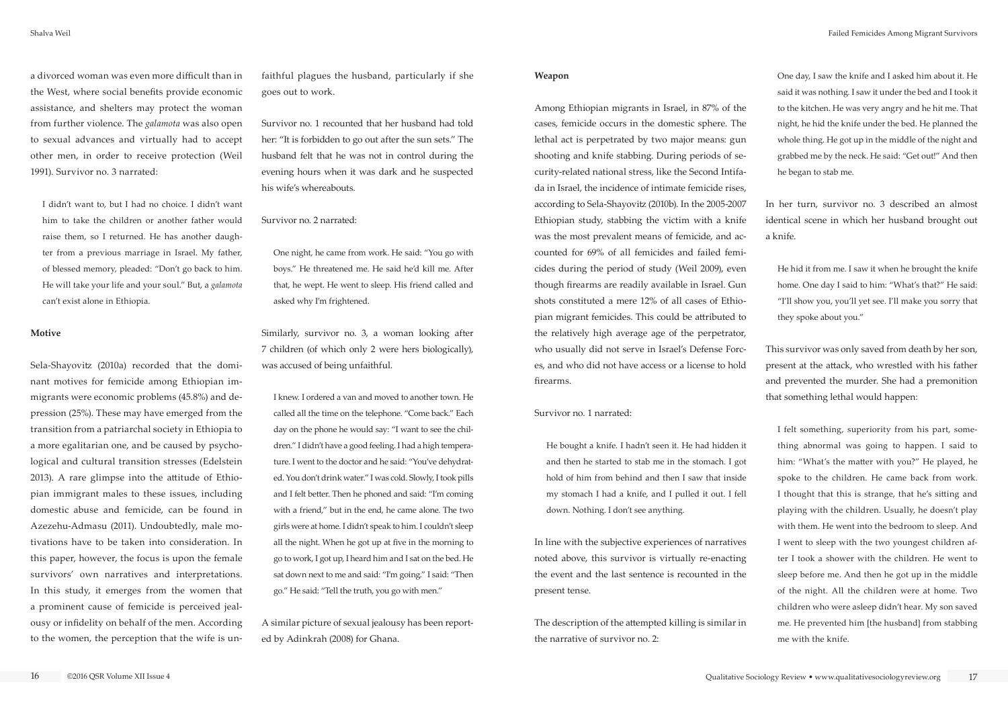a divorced woman was even more difficult than in the West, where social benefits provide economic assistance, and shelters may protect the woman from further violence. The *galamota* was also open to sexual advances and virtually had to accept other men, in order to receive protection (Weil 1991). Survivor no. 3 narrated:

I didn't want to, but I had no choice. I didn't want him to take the children or another father would raise them, so I returned. He has another daughter from a previous marriage in Israel. My father, of blessed memory, pleaded: "Don't go back to him. He will take your life and your soul." But, a *galamota* can't exist alone in Ethiopia.

#### **Motive**

Sela-Shayovitz (2010a) recorded that the dominant motives for femicide among Ethiopian immigrants were economic problems (45.8%) and depression (25%). These may have emerged from the transition from a patriarchal society in Ethiopia to a more egalitarian one, and be caused by psychological and cultural transition stresses (Edelstein 2013). A rare glimpse into the attitude of Ethiopian immigrant males to these issues, including domestic abuse and femicide, can be found in Azezehu-Admasu (2011). Undoubtedly, male motivations have to be taken into consideration. In this paper, however, the focus is upon the female survivors' own narratives and interpretations. In this study, it emerges from the women that a prominent cause of femicide is perceived jealousy or infidelity on behalf of the men. According to the women, the perception that the wife is unfaithful plagues the husband, particularly if she goes out to work.

Survivor no. 1 recounted that her husband had told her: "It is forbidden to go out after the sun sets." The husband felt that he was not in control during the evening hours when it was dark and he suspected his wife's whereabouts.

#### Survivor no. 2 narrated:

One night, he came from work. He said: "You go with boys." He threatened me. He said he'd kill me. After that, he wept. He went to sleep. His friend called and asked why I'm frightened.

Similarly, survivor no. 3, a woman looking after 7 children (of which only 2 were hers biologically), was accused of being unfaithful.

I knew. I ordered a van and moved to another town. He called all the time on the telephone. "Come back." Each day on the phone he would say: "I want to see the children." I didn't have a good feeling. I had a high temperature. I went to the doctor and he said: "You've dehydrated. You don't drink water." I was cold. Slowly, I took pills and I felt better. Then he phoned and said: "I'm coming with a friend," but in the end, he came alone. The two girls were at home. I didn't speak to him. I couldn't sleep all the night. When he got up at five in the morning to go to work, I got up, I heard him and I sat on the bed. He sat down next to me and said: "I'm going." I said: "Then go." He said: "Tell the truth, you go with men."

A similar picture of sexual jealousy has been reported by Adinkrah (2008) for Ghana.

#### **Weapon**

Among Ethiopian migrants in Israel, in 87% of the cases, femicide occurs in the domestic sphere. The lethal act is perpetrated by two major means: gun shooting and knife stabbing. During periods of security-related national stress, like the Second Intifada in Israel, the incidence of intimate femicide rises, according to Sela-Shayovitz (2010b). In the 2005-2007 Ethiopian study, stabbing the victim with a knife was the most prevalent means of femicide, and accounted for 69% of all femicides and failed femicides during the period of study (Weil 2009), even though firearms are readily available in Israel. Gun shots constituted a mere 12% of all cases of Ethiopian migrant femicides. This could be attributed to the relatively high average age of the perpetrator, who usually did not serve in Israel's Defense Forces, and who did not have access or a license to hold firearms.

#### Survivor no. 1 narrated:

He bought a knife. I hadn't seen it. He had hidden it and then he started to stab me in the stomach. I got hold of him from behind and then I saw that inside my stomach I had a knife, and I pulled it out. I fell down. Nothing. I don't see anything.

In line with the subjective experiences of narratives noted above, this survivor is virtually re-enacting the event and the last sentence is recounted in the present tense.

The description of the attempted killing is similar in the narrative of survivor no. 2:

One day, I saw the knife and I asked him about it. He said it was nothing. I saw it under the bed and I took it to the kitchen. He was very angry and he hit me. That night, he hid the knife under the bed. He planned the whole thing. He got up in the middle of the night and grabbed me by the neck. He said: "Get out!" And then he began to stab me.

In her turn, survivor no. 3 described an almost identical scene in which her husband brought out a knife.

He hid it from me. I saw it when he brought the knife home. One day I said to him: "What's that?" He said: "I'll show you, you'll yet see. I'll make you sorry that they spoke about you."

This survivor was only saved from death by her son, present at the attack, who wrestled with his father and prevented the murder. She had a premonition that something lethal would happen:

I felt something, superiority from his part, something abnormal was going to happen. I said to him: "What's the matter with you?" He played, he spoke to the children. He came back from work. I thought that this is strange, that he's sitting and playing with the children. Usually, he doesn't play with them. He went into the bedroom to sleep. And I went to sleep with the two youngest children after I took a shower with the children. He went to sleep before me. And then he got up in the middle of the night. All the children were at home. Two children who were asleep didn't hear. My son saved me. He prevented him [the husband] from stabbing me with the knife.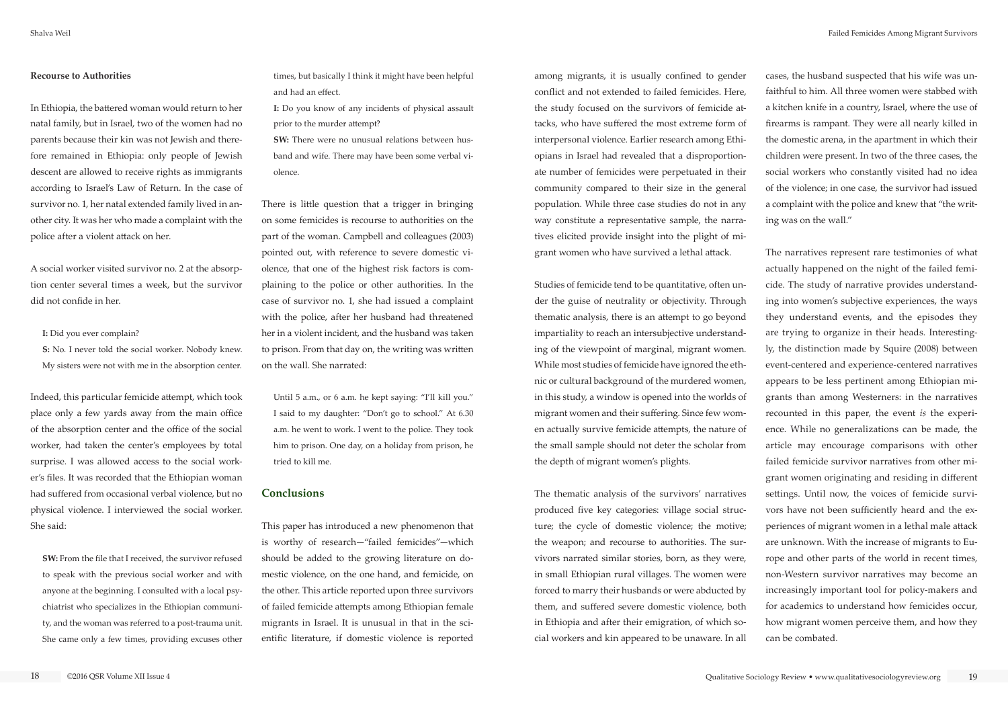#### **Recourse to Authorities**

In Ethiopia, the battered woman would return to her natal family, but in Israel, two of the women had no parents because their kin was not Jewish and therefore remained in Ethiopia: only people of Jewish descent are allowed to receive rights as immigrants according to Israel's Law of Return. In the case of survivor no. 1, her natal extended family lived in another city. It was her who made a complaint with the police after a violent attack on her.

A social worker visited survivor no. 2 at the absorption center several times a week, but the survivor did not confide in her.

#### **I:** Did you ever complain?

**S:** No. I never told the social worker. Nobody knew. My sisters were not with me in the absorption center. **SW:** There were no unusual relations between husband and wife. There may have been some verbal violence.

Indeed, this particular femicide attempt, which took place only a few yards away from the main office of the absorption center and the office of the social worker, had taken the center's employees by total surprise. I was allowed access to the social worker's files. It was recorded that the Ethiopian woman had suffered from occasional verbal violence, but no physical violence. I interviewed the social worker. She said:

**SW:** From the file that I received, the survivor refused to speak with the previous social worker and with anyone at the beginning. I consulted with a local psychiatrist who specializes in the Ethiopian community, and the woman was referred to a post-trauma unit. She came only a few times, providing excuses other times, but basically I think it might have been helpful and had an effect.

**I:** Do you know of any incidents of physical assault prior to the murder attempt?

There is little question that a trigger in bringing on some femicides is recourse to authorities on the part of the woman. Campbell and colleagues (2003) pointed out, with reference to severe domestic violence, that one of the highest risk factors is complaining to the police or other authorities. In the case of survivor no. 1, she had issued a complaint with the police, after her husband had threatened her in a violent incident, and the husband was taken to prison. From that day on, the writing was written on the wall. She narrated:

Until 5 a.m., or 6 a.m. he kept saying: "I'll kill you." I said to my daughter: "Don't go to school." At 6.30 a.m. he went to work. I went to the police. They took him to prison. One day, on a holiday from prison, he tried to kill me.

#### **Conclusions**

This paper has introduced a new phenomenon that is worthy of research—"failed femicides"—which should be added to the growing literature on domestic violence, on the one hand, and femicide, on the other. This article reported upon three survivors of failed femicide attempts among Ethiopian female migrants in Israel. It is unusual in that in the scientific literature, if domestic violence is reported

among migrants, it is usually confined to gender conflict and not extended to failed femicides. Here, the study focused on the survivors of femicide attacks, who have suffered the most extreme form of interpersonal violence. Earlier research among Ethiopians in Israel had revealed that a disproportionate number of femicides were perpetuated in their community compared to their size in the general population. While three case studies do not in any way constitute a representative sample, the narratives elicited provide insight into the plight of migrant women who have survived a lethal attack.

Studies of femicide tend to be quantitative, often under the guise of neutrality or objectivity. Through thematic analysis, there is an attempt to go beyond impartiality to reach an intersubjective understanding of the viewpoint of marginal, migrant women. While most studies of femicide have ignored the ethnic or cultural background of the murdered women, in this study, a window is opened into the worlds of migrant women and their suffering. Since few women actually survive femicide attempts, the nature of the small sample should not deter the scholar from the depth of migrant women's plights.

The thematic analysis of the survivors' narratives produced five key categories: village social structure; the cycle of domestic violence; the motive; the weapon; and recourse to authorities. The survivors narrated similar stories, born, as they were, in small Ethiopian rural villages. The women were forced to marry their husbands or were abducted by them, and suffered severe domestic violence, both in Ethiopia and after their emigration, of which social workers and kin appeared to be unaware. In all cases, the husband suspected that his wife was unfaithful to him. All three women were stabbed with a kitchen knife in a country, Israel, where the use of firearms is rampant. They were all nearly killed in the domestic arena, in the apartment in which their children were present. In two of the three cases, the social workers who constantly visited had no idea of the violence; in one case, the survivor had issued a complaint with the police and knew that "the writing was on the wall."

The narratives represent rare testimonies of what actually happened on the night of the failed femicide. The study of narrative provides understanding into women's subjective experiences, the ways they understand events, and the episodes they are trying to organize in their heads. Interestingly, the distinction made by Squire (2008) between event-centered and experience-centered narratives appears to be less pertinent among Ethiopian migrants than among Westerners: in the narratives recounted in this paper, the event *is* the experience. While no generalizations can be made, the article may encourage comparisons with other failed femicide survivor narratives from other migrant women originating and residing in different settings. Until now, the voices of femicide survivors have not been sufficiently heard and the experiences of migrant women in a lethal male attack are unknown. With the increase of migrants to Europe and other parts of the world in recent times, non-Western survivor narratives may become an increasingly important tool for policy-makers and for academics to understand how femicides occur, how migrant women perceive them, and how they can be combated.